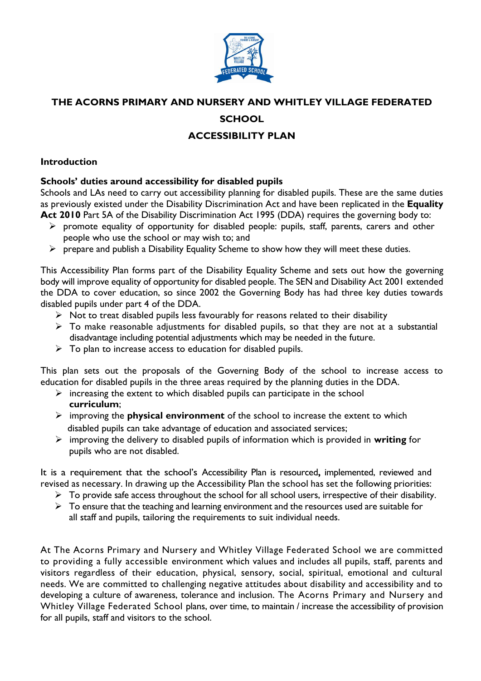

# **THE ACORNS PRIMARY AND NURSERY AND WHITLEY VILLAGE FEDERATED**

### **SCHOOL**

## **ACCESSIBILITY PLAN**

## **Introduction**

#### **Schools' duties around accessibility for disabled pupils**

Schools and LAs need to carry out accessibility planning for disabled pupils. These are the same duties as previously existed under the Disability Discrimination Act and have been replicated in the **Equality Act 2010** Part 5A of the Disability Discrimination Act 1995 (DDA) requires the governing body to:

- ➢ promote equality of opportunity for disabled people: pupils, staff, parents, carers and other people who use the school or may wish to; and
- ➢ prepare and publish a Disability Equality Scheme to show how they will meet these duties.

This Accessibility Plan forms part of the Disability Equality Scheme and sets out how the governing body will improve equality of opportunity for disabled people. The SEN and Disability Act 2001 extended the DDA to cover education, so since 2002 the Governing Body has had three key duties towards disabled pupils under part 4 of the DDA.

- $\triangleright$  Not to treat disabled pupils less favourably for reasons related to their disability
- $\triangleright$  To make reasonable adjustments for disabled pupils, so that they are not at a substantial disadvantage including potential adjustments which may be needed in the future.
- $\triangleright$  To plan to increase access to education for disabled pupils.

This plan sets out the proposals of the Governing Body of the school to increase access to education for disabled pupils in the three areas required by the planning duties in the DDA.

- $\triangleright$  increasing the extent to which disabled pupils can participate in the school  **curriculum**;
- ➢ improving the **physical environment** of the school to increase the extent to which disabled pupils can take advantage of education and associated services;
- ➢ improving the delivery to disabled pupils of information which is provided in **writing** for pupils who are not disabled.

It is a requirement that the school's Accessibility Plan is resourced**,** implemented, reviewed and revised as necessary. In drawing up the Accessibility Plan the school has set the following priorities:

- ➢ To provide safe access throughout the school for all school users, irrespective of their disability.
- $\triangleright$  To ensure that the teaching and learning environment and the resources used are suitable for all staff and pupils, tailoring the requirements to suit individual needs.

At The Acorns Primary and Nursery and Whitley Village Federated School we are committed to providing a fully accessible environment which values and includes all pupils, staff, parents and visitors regardless of their education, physical, sensory, social, spiritual, emotional and cultural needs. We are committed to challenging negative attitudes about disability and accessibility and to developing a culture of awareness, tolerance and inclusion. The Acorns Primary and Nursery and Whitley Village Federated School plans, over time, to maintain / increase the accessibility of provision for all pupils, staff and visitors to the school.